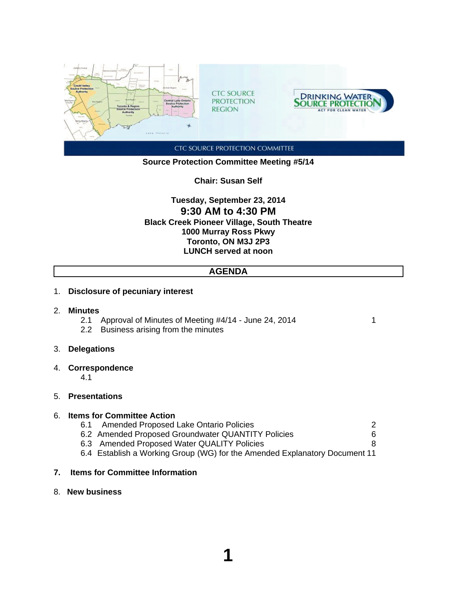

## **Source Protection Committee Meeting #5/14**

**Chair: Susan Self**

**Tuesday, September 23, 2014 9:30 AM to 4:30 PM Black Creek Pioneer Village, South Theatre 1000 Murray Ross Pkwy Toronto, ON M3J 2P3 LUNCH served at noon**

## **AGENDA**

#### 1. **Disclosure of pecuniary interest**

- 2. **Minutes**
	- 2.1 Approval of Minutes of Meeting #4/14 June 24, 2014
	- 2.2 Business arising from the minutes
- 3. **Delegations**
- 4. **Correspondence**

4.1

## 5. **Presentations**

### 6. **Items for Committee Action**

- 6.1 Amended Proposed Lake Ontario Policies 2
- 6.2 Amended Proposed Groundwater QUANTITY Policies 6
- 6.3 Amended Proposed Water QUALITY Policies 8
- 6.4 Establish a Working Group (WG) for the Amended Explanatory Document 11

### **7. Items for Committee Information**

8. **New business**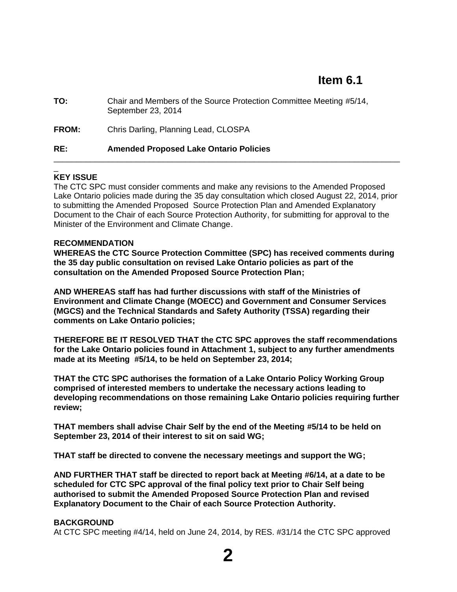| TO:          | Chair and Members of the Source Protection Committee Meeting #5/14,<br>September 23, 2014 |
|--------------|-------------------------------------------------------------------------------------------|
| <b>FROM:</b> | Chris Darling, Planning Lead, CLOSPA                                                      |
| RE:          | <b>Amended Proposed Lake Ontario Policies</b>                                             |

#### \_ **KEY ISSUE**

The CTC SPC must consider comments and make any revisions to the Amended Proposed Lake Ontario policies made during the 35 day consultation which closed August 22, 2014, prior to submitting the Amended Proposed Source Protection Plan and Amended Explanatory Document to the Chair of each Source Protection Authority, for submitting for approval to the Minister of the Environment and Climate Change.

## **RECOMMENDATION**

**WHEREAS the CTC Source Protection Committee (SPC) has received comments during the 35 day public consultation on revised Lake Ontario policies as part of the consultation on the Amended Proposed Source Protection Plan;**

**AND WHEREAS staff has had further discussions with staff of the Ministries of Environment and Climate Change (MOECC) and Government and Consumer Services (MGCS) and the Technical Standards and Safety Authority (TSSA) regarding their comments on Lake Ontario policies;**

**THEREFORE BE IT RESOLVED THAT the CTC SPC approves the staff recommendations for the Lake Ontario policies found in Attachment 1, subject to any further amendments made at its Meeting #5/14, to be held on September 23, 2014;**

**THAT the CTC SPC authorises the formation of a Lake Ontario Policy Working Group comprised of interested members to undertake the necessary actions leading to developing recommendations on those remaining Lake Ontario policies requiring further review;**

**THAT members shall advise Chair Self by the end of the Meeting #5/14 to be held on September 23, 2014 of their interest to sit on said WG;**

**THAT staff be directed to convene the necessary meetings and support the WG;**

**AND FURTHER THAT staff be directed to report back at Meeting #6/14, at a date to be scheduled for CTC SPC approval of the final policy text prior to Chair Self being authorised to submit the Amended Proposed Source Protection Plan and revised Explanatory Document to the Chair of each Source Protection Authority.**

#### **BACKGROUND**

At CTC SPC meeting #4/14, held on June 24, 2014, by RES. #31/14 the CTC SPC approved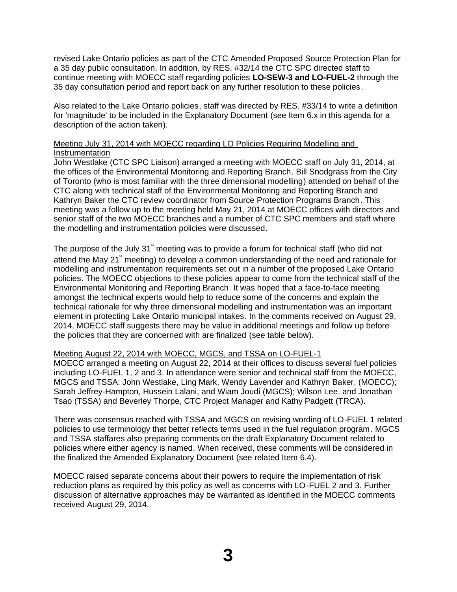revised Lake Ontario policies as part of the CTC Amended Proposed Source Protection Plan for a 35 day public consultation. In addition, by RES. #32/14 the CTC SPC directed staff to continue meeting with MOECC staff regarding policies **LO-SEW-3 and LO-FUEL-2** through the 35 day consultation period and report back on any further resolution to these policies.

Also related to the Lake Ontario policies, staff was directed by RES. #33/14 to write a definition for 'magnitude' to be included in the Explanatory Document (see Item 6.x in this agenda for a description of the action taken).

## Meeting July 31, 2014 with MOECC regarding LO Policies Requiring Modelling and **Instrumentation**

John Westlake (CTC SPC Liaison) arranged a meeting with MOECC staff on July 31, 2014, at the offices of the Environmental Monitoring and Reporting Branch. Bill Snodgrass from the City of Toronto (who is most familiar with the three dimensional modelling) attended on behalf of the CTC along with technical staff of the Environmental Monitoring and Reporting Branch and Kathryn Baker the CTC review coordinator from Source Protection Programs Branch. This meeting was a follow up to the meeting held May 21, 2014 at MOECC offices with directors and senior staff of the two MOECC branches and a number of CTC SPC members and staff where the modelling and instrumentation policies were discussed.

The purpose of the July  $31<sup>st</sup>$  meeting was to provide a forum for technical staff (who did not attend the May 21 $^*$  meeting) to develop a common understanding of the need and rationale for modelling and instrumentation requirements set out in a number of the proposed Lake Ontario policies. The MOECC objections to these policies appear to come from the technical staff of the Environmental Monitoring and Reporting Branch. It was hoped that a face-to-face meeting amongst the technical experts would help to reduce some of the concerns and explain the technical rationale for why three dimensional modelling and instrumentation was an important element in protecting Lake Ontario municipal intakes. In the comments received on August 29, 2014, MOECC staff suggests there may be value in additional meetings and follow up before the policies that they are concerned with are finalized (see table below).

## Meeting August 22, 2014 with MOECC, MGCS, and TSSA on LO-FUEL-1

MOECC arranged a meeting on August 22, 2014 at their offices to discuss several fuel policies including LO-FUEL 1, 2 and 3. In attendance were senior and technical staff from the MOECC, MGCS and TSSA: John Westlake, Ling Mark, Wendy Lavender and Kathryn Baker, (MOECC); Sarah Jeffrey-Hampton, Hussein Lalani, and Wiam Joudi (MGCS); Wilson Lee, and Jonathan Tsao (TSSA) and Beverley Thorpe, CTC Project Manager and Kathy Padgett (TRCA).

There was consensus reached with TSSA and MGCS on revising wording of LO-FUEL 1 related policies to use terminology that better reflects terms used in the fuel regulation program. MGCS and TSSA staffares also preparing comments on the draft Explanatory Document related to policies where either agency is named. When received, these comments will be considered in the finalized the Amended Explanatory Document (see related Item 6.4).

MOECC raised separate concerns about their powers to require the implementation of risk reduction plans as required by this policy as well as concerns with LO-FUEL 2 and 3. Further discussion of alternative approaches may be warranted as identified in the MOECC comments received August 29, 2014.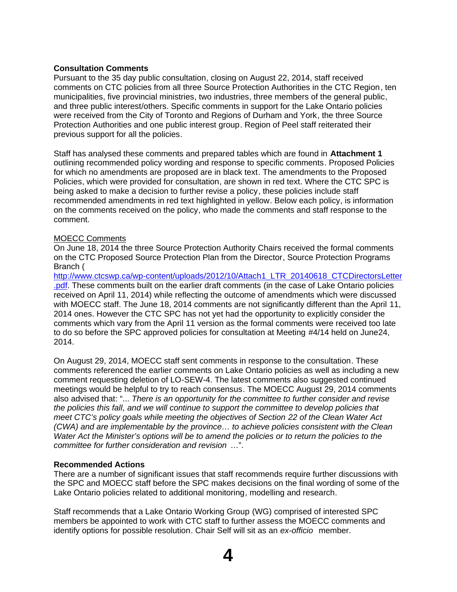## **Consultation Comments**

Pursuant to the 35 day public consultation, closing on August 22, 2014, staff received comments on CTC policies from all three Source Protection Authorities in the CTC Region, ten municipalities, five provincial ministries, two industries, three members of the general public, and three public interest/others. Specific comments in support for the Lake Ontario policies were received from the City of Toronto and Regions of Durham and York, the three Source Protection Authorities and one public interest group. Region of Peel staff reiterated their previous support for all the policies.

Staff has analysed these comments and prepared tables which are found in **Attachment 1** outlining recommended policy wording and response to specific comments. Proposed Policies for which no amendments are proposed are in black text. The amendments to the Proposed Policies, which were provided for consultation, are shown in red text. Where the CTC SPC is being asked to make a decision to further revise a policy, these policies include staff recommended amendments in red text highlighted in yellow. Below each policy, is information on the comments received on the policy, who made the comments and staff response to the comment.

## MOECC Comments

On June 18, 2014 the three Source Protection Authority Chairs received the formal comments on the CTC Proposed Source Protection Plan from the Director, Source Protection Programs Branch (

http://www.ctcswp.ca/wp-content/uploads/2012/10/Attach1\_LTR\_20140618\_CTCDirectorsLetter .pdf. These comments built on the earlier draft comments (in the case of Lake Ontario policies received on April 11, 2014) while reflecting the outcome of amendments which were discussed with MOECC staff. The June 18, 2014 comments are not significantly different than the April 11, 2014 ones. However the CTC SPC has not yet had the opportunity to explicitly consider the comments which vary from the April 11 version as the formal comments were received too late to do so before the SPC approved policies for consultation at Meeting #4/14 held on June24, 2014.

On August 29, 2014, MOECC staff sent comments in response to the consultation. These comments referenced the earlier comments on Lake Ontario policies as well as including a new comment requesting deletion of LO-SEW-4. The latest comments also suggested continued meetings would be helpful to try to reach consensus. The MOECC August 29, 2014 comments also advised that: "... *There is an opportunity for the committee to further consider and revise the policies this fall, and we will continue to support the committee to develop policies that meet CTC's policy goals while meeting the objectives of Section 22 of the Clean Water Act (CWA) and are implementable by the province… to achieve policies consistent with the Clean Water Act the Minister's options will be to amend the policies or to return the policies to the committee for further consideration and revision* …".

#### **Recommended Actions**

There are a number of significant issues that staff recommends require further discussions with the SPC and MOECC staff before the SPC makes decisions on the final wording of some of the Lake Ontario policies related to additional monitoring, modelling and research.

Staff recommends that a Lake Ontario Working Group (WG) comprised of interested SPC members be appointed to work with CTC staff to further assess the MOECC comments and identify options for possible resolution. Chair Self will sit as an *ex-officio* member.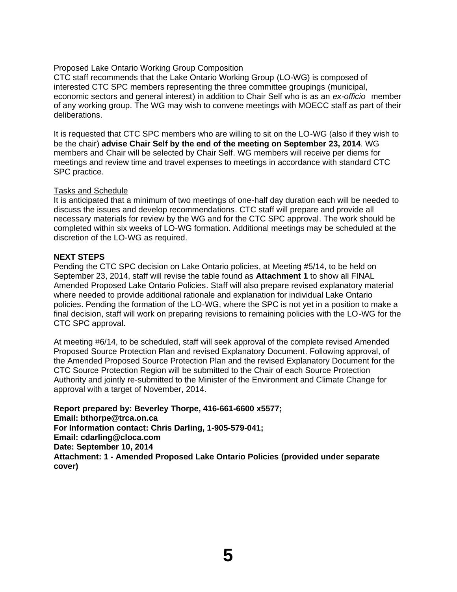## Proposed Lake Ontario Working Group Composition

CTC staff recommends that the Lake Ontario Working Group (LO-WG) is composed of interested CTC SPC members representing the three committee groupings (municipal, economic sectors and general interest) in addition to Chair Self who is as an *ex-officio* member of any working group. The WG may wish to convene meetings with MOECC staff as part of their deliberations.

It is requested that CTC SPC members who are willing to sit on the LO-WG (also if they wish to be the chair) **advise Chair Self by the end of the meeting on September 23, 2014**. WG members and Chair will be selected by Chair Self. WG members will receive per diems for meetings and review time and travel expenses to meetings in accordance with standard CTC SPC practice.

## Tasks and Schedule

It is anticipated that a minimum of two meetings of one-half day duration each will be needed to discuss the issues and develop recommendations. CTC staff will prepare and provide all necessary materials for review by the WG and for the CTC SPC approval. The work should be completed within six weeks of LO-WG formation. Additional meetings may be scheduled at the discretion of the LO-WG as required.

## **NEXT STEPS**

Pending the CTC SPC decision on Lake Ontario policies, at Meeting #5/14, to be held on September 23, 2014, staff will revise the table found as **Attachment 1** to show all FINAL Amended Proposed Lake Ontario Policies. Staff will also prepare revised explanatory material where needed to provide additional rationale and explanation for individual Lake Ontario policies. Pending the formation of the LO-WG, where the SPC is not yet in a position to make a final decision, staff will work on preparing revisions to remaining policies with the LO-WG for the CTC SPC approval.

At meeting #6/14, to be scheduled, staff will seek approval of the complete revised Amended Proposed Source Protection Plan and revised Explanatory Document. Following approval, of the Amended Proposed Source Protection Plan and the revised Explanatory Document for the CTC Source Protection Region will be submitted to the Chair of each Source Protection Authority and jointly re-submitted to the Minister of the Environment and Climate Change for approval with a target of November, 2014.

**Report prepared by: Beverley Thorpe, 416-661-6600 x5577; Email: bthorpe@trca.on.ca For Information contact: Chris Darling, 1-905-579-041; Email: cdarling@cloca.com Date: September 10, 2014 Attachment: 1 - Amended Proposed Lake Ontario Policies (provided under separate cover)**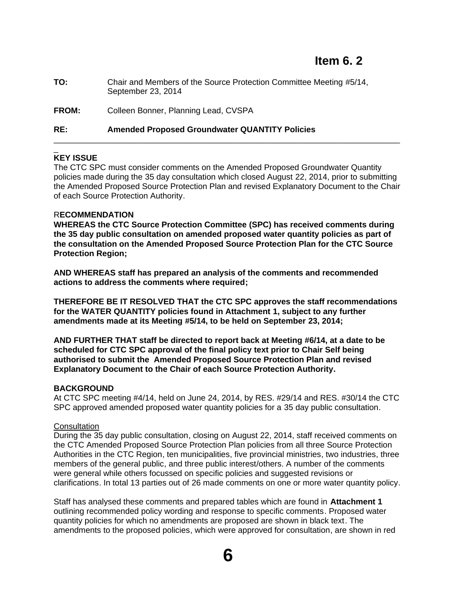**TO:** Chair and Members of the Source Protection Committee Meeting #5/14, September 23, 2014

**FROM:** Colleen Bonner, Planning Lead, CVSPA

## **RE: Amended Proposed Groundwater QUANTITY Policies**

#### \_ **KEY ISSUE**

The CTC SPC must consider comments on the Amended Proposed Groundwater Quantity policies made during the 35 day consultation which closed August 22, 2014, prior to submitting the Amended Proposed Source Protection Plan and revised Explanatory Document to the Chair of each Source Protection Authority.

\_\_\_\_\_\_\_\_\_\_\_\_\_\_\_\_\_\_\_\_\_\_\_\_\_\_\_\_\_\_\_\_\_\_\_\_\_\_\_\_\_\_\_\_\_\_\_\_\_\_\_\_\_\_\_\_\_\_\_\_\_\_\_\_\_\_\_\_\_\_\_\_\_\_\_\_

## R**ECOMMENDATION**

**WHEREAS the CTC Source Protection Committee (SPC) has received comments during the 35 day public consultation on amended proposed water quantity policies as part of the consultation on the Amended Proposed Source Protection Plan for the CTC Source Protection Region;**

**AND WHEREAS staff has prepared an analysis of the comments and recommended actions to address the comments where required;**

**THEREFORE BE IT RESOLVED THAT the CTC SPC approves the staff recommendations for the WATER QUANTITY policies found in Attachment 1, subject to any further amendments made at its Meeting #5/14, to be held on September 23, 2014;**

**AND FURTHER THAT staff be directed to report back at Meeting #6/14, at a date to be scheduled for CTC SPC approval of the final policy text prior to Chair Self being authorised to submit the Amended Proposed Source Protection Plan and revised Explanatory Document to the Chair of each Source Protection Authority.**

## **BACKGROUND**

At CTC SPC meeting #4/14, held on June 24, 2014, by RES. #29/14 and RES. #30/14 the CTC SPC approved amended proposed water quantity policies for a 35 day public consultation.

#### **Consultation**

During the 35 day public consultation, closing on August 22, 2014, staff received comments on the CTC Amended Proposed Source Protection Plan policies from all three Source Protection Authorities in the CTC Region, ten municipalities, five provincial ministries, two industries, three members of the general public, and three public interest/others. A number of the comments were general while others focussed on specific policies and suggested revisions or clarifications. In total 13 parties out of 26 made comments on one or more water quantity policy.

Staff has analysed these comments and prepared tables which are found in **Attachment 1** outlining recommended policy wording and response to specific comments. Proposed water quantity policies for which no amendments are proposed are shown in black text. The amendments to the proposed policies, which were approved for consultation, are shown in red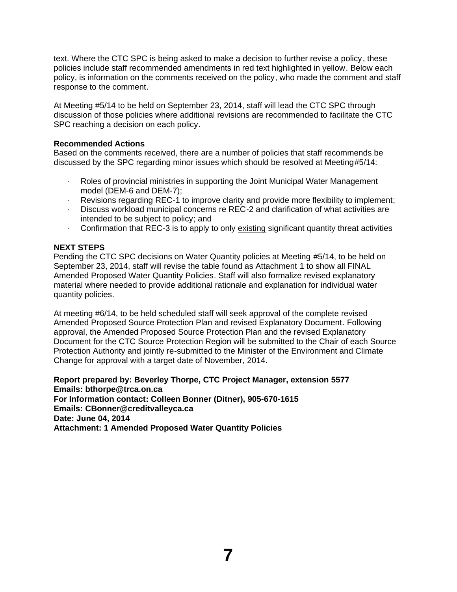text. Where the CTC SPC is being asked to make a decision to further revise a policy, these policies include staff recommended amendments in red text highlighted in yellow. Below each policy, is information on the comments received on the policy, who made the comment and staff response to the comment.

At Meeting #5/14 to be held on September 23, 2014, staff will lead the CTC SPC through discussion of those policies where additional revisions are recommended to facilitate the CTC SPC reaching a decision on each policy.

### **Recommended Actions**

Based on the comments received, there are a number of policies that staff recommends be discussed by the SPC regarding minor issues which should be resolved at Meeting#5/14:

- Roles of provincial ministries in supporting the Joint Municipal Water Management model (DEM-6 and DEM-7);
- · Revisions regarding REC-1 to improve clarity and provide more flexibility to implement;
- · Discuss workload municipal concerns re REC-2 and clarification of what activities are intended to be subject to policy; and
- · Confirmation that REC-3 is to apply to only existing significant quantity threat activities

## **NEXT STEPS**

Pending the CTC SPC decisions on Water Quantity policies at Meeting #5/14, to be held on September 23, 2014, staff will revise the table found as Attachment 1 to show all FINAL Amended Proposed Water Quantity Policies. Staff will also formalize revised explanatory material where needed to provide additional rationale and explanation for individual water quantity policies.

At meeting #6/14, to be held scheduled staff will seek approval of the complete revised Amended Proposed Source Protection Plan and revised Explanatory Document. Following approval, the Amended Proposed Source Protection Plan and the revised Explanatory Document for the CTC Source Protection Region will be submitted to the Chair of each Source Protection Authority and jointly re-submitted to the Minister of the Environment and Climate Change for approval with a target date of November, 2014.

**Report prepared by: Beverley Thorpe, CTC Project Manager, extension 5577 Emails: bthorpe@trca.on.ca For Information contact: Colleen Bonner (Ditner), 905-670-1615 Emails: CBonner@creditvalleyca.ca Date: June 04, 2014 Attachment: 1 Amended Proposed Water Quantity Policies**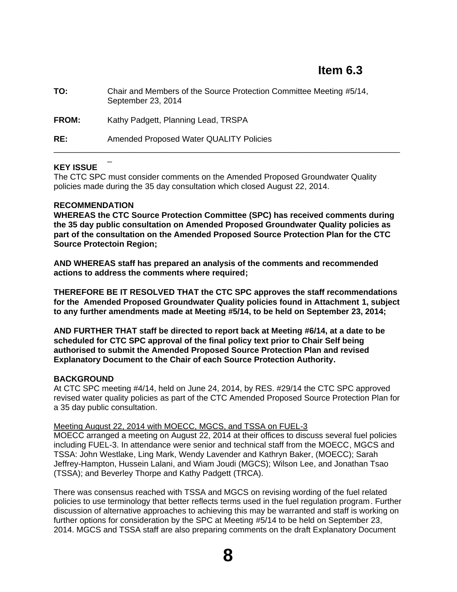| TO:          | Chair and Members of the Source Protection Committee Meeting #5/14,<br>September 23, 2014 |
|--------------|-------------------------------------------------------------------------------------------|
| <b>FROM:</b> | Kathy Padgett, Planning Lead, TRSPA                                                       |
| RE:          | <b>Amended Proposed Water QUALITY Policies</b>                                            |

## **KEY ISSUE**

The CTC SPC must consider comments on the Amended Proposed Groundwater Quality policies made during the 35 day consultation which closed August 22, 2014.

#### **RECOMMENDATION**

\_

**WHEREAS the CTC Source Protection Committee (SPC) has received comments during the 35 day public consultation on Amended Proposed Groundwater Quality policies as part of the consultation on the Amended Proposed Source Protection Plan for the CTC Source Protectoin Region;**

**AND WHEREAS staff has prepared an analysis of the comments and recommended actions to address the comments where required;**

**THEREFORE BE IT RESOLVED THAT the CTC SPC approves the staff recommendations for the Amended Proposed Groundwater Quality policies found in Attachment 1, subject to any further amendments made at Meeting #5/14, to be held on September 23, 2014;**

**AND FURTHER THAT staff be directed to report back at Meeting #6/14, at a date to be scheduled for CTC SPC approval of the final policy text prior to Chair Self being authorised to submit the Amended Proposed Source Protection Plan and revised Explanatory Document to the Chair of each Source Protection Authority.**

## **BACKGROUND**

At CTC SPC meeting #4/14, held on June 24, 2014, by RES. #29/14 the CTC SPC approved revised water quality policies as part of the CTC Amended Proposed Source Protection Plan for a 35 day public consultation.

#### Meeting August 22, 2014 with MOECC, MGCS, and TSSA on FUEL-3

MOECC arranged a meeting on August 22, 2014 at their offices to discuss several fuel policies including FUEL-3. In attendance were senior and technical staff from the MOECC, MGCS and TSSA: John Westlake, Ling Mark, Wendy Lavender and Kathryn Baker, (MOECC); Sarah Jeffrey-Hampton, Hussein Lalani, and Wiam Joudi (MGCS); Wilson Lee, and Jonathan Tsao (TSSA); and Beverley Thorpe and Kathy Padgett (TRCA).

There was consensus reached with TSSA and MGCS on revising wording of the fuel related policies to use terminology that better reflects terms used in the fuel regulation program. Further discussion of alternative approaches to achieving this may be warranted and staff is working on further options for consideration by the SPC at Meeting #5/14 to be held on September 23, 2014. MGCS and TSSA staff are also preparing comments on the draft Explanatory Document

**8**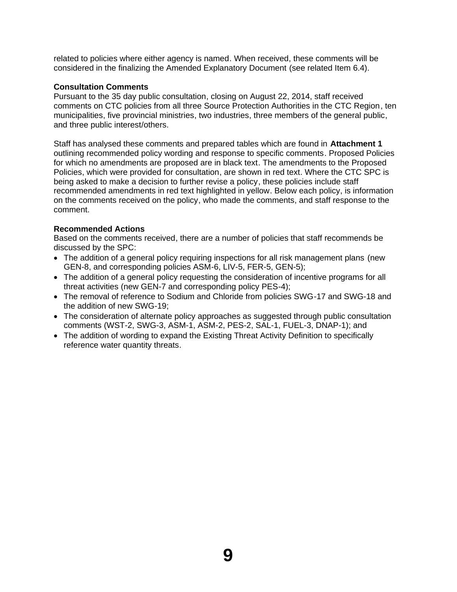related to policies where either agency is named. When received, these comments will be considered in the finalizing the Amended Explanatory Document (see related Item 6.4).

## **Consultation Comments**

Pursuant to the 35 day public consultation, closing on August 22, 2014, staff received comments on CTC policies from all three Source Protection Authorities in the CTC Region, ten municipalities, five provincial ministries, two industries, three members of the general public, and three public interest/others.

Staff has analysed these comments and prepared tables which are found in **Attachment 1**  outlining recommended policy wording and response to specific comments. Proposed Policies for which no amendments are proposed are in black text. The amendments to the Proposed Policies, which were provided for consultation, are shown in red text. Where the CTC SPC is being asked to make a decision to further revise a policy, these policies include staff recommended amendments in red text highlighted in yellow. Below each policy, is information on the comments received on the policy, who made the comments, and staff response to the comment.

## **Recommended Actions**

Based on the comments received, there are a number of policies that staff recommends be discussed by the SPC:

- The addition of a general policy requiring inspections for all risk management plans (new GEN-8, and corresponding policies ASM-6, LIV-5, FER-5, GEN-5);
- The addition of a general policy requesting the consideration of incentive programs for all threat activities (new GEN-7 and corresponding policy PES-4);
- The removal of reference to Sodium and Chloride from policies SWG-17 and SWG-18 and the addition of new SWG-19;
- The consideration of alternate policy approaches as suggested through public consultation comments (WST-2, SWG-3, ASM-1, ASM-2, PES-2, SAL-1, FUEL-3, DNAP-1); and
- The addition of wording to expand the Existing Threat Activity Definition to specifically reference water quantity threats.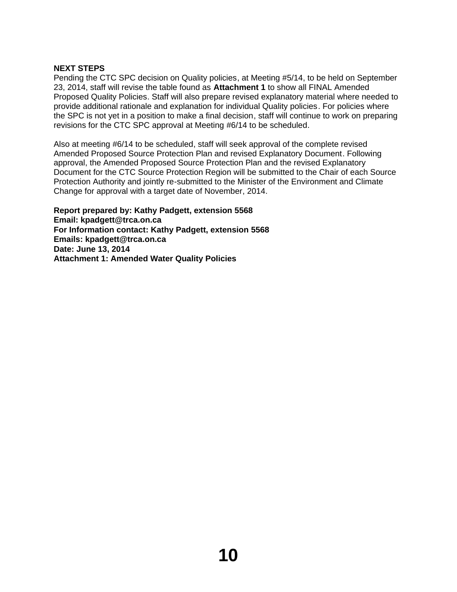## **NEXT STEPS**

Pending the CTC SPC decision on Quality policies, at Meeting #5/14, to be held on September 23, 2014, staff will revise the table found as **Attachment 1** to show all FINAL Amended Proposed Quality Policies. Staff will also prepare revised explanatory material where needed to provide additional rationale and explanation for individual Quality policies. For policies where the SPC is not yet in a position to make a final decision, staff will continue to work on preparing revisions for the CTC SPC approval at Meeting #6/14 to be scheduled.

Also at meeting #6/14 to be scheduled, staff will seek approval of the complete revised Amended Proposed Source Protection Plan and revised Explanatory Document. Following approval, the Amended Proposed Source Protection Plan and the revised Explanatory Document for the CTC Source Protection Region will be submitted to the Chair of each Source Protection Authority and jointly re-submitted to the Minister of the Environment and Climate Change for approval with a target date of November, 2014.

**Report prepared by: Kathy Padgett, extension 5568 Email: kpadgett@trca.on.ca For Information contact: Kathy Padgett, extension 5568 Emails: kpadgett@trca.on.ca Date: June 13, 2014 Attachment 1: Amended Water Quality Policies**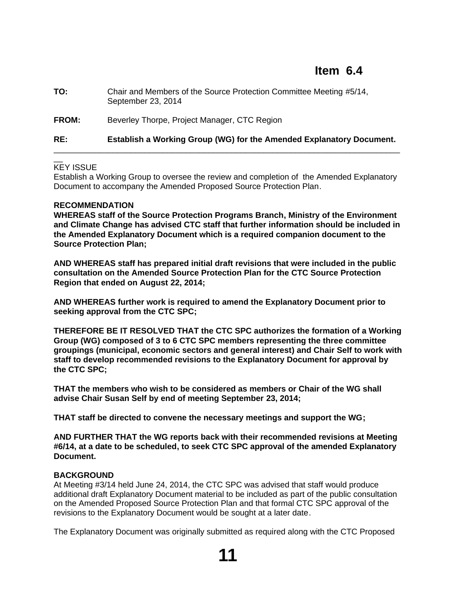| RE:   | Establish a Working Group (WG) for the Amended Explanatory Document.                      |
|-------|-------------------------------------------------------------------------------------------|
| FROM: | Beverley Thorpe, Project Manager, CTC Region                                              |
| TO:   | Chair and Members of the Source Protection Committee Meeting #5/14,<br>September 23, 2014 |

#### $\overline{\phantom{a}}$ KEY ISSUE

Establish a Working Group to oversee the review and completion of the Amended Explanatory Document to accompany the Amended Proposed Source Protection Plan.

#### **RECOMMENDATION**

**WHEREAS staff of the Source Protection Programs Branch, Ministry of the Environment and Climate Change has advised CTC staff that further information should be included in the Amended Explanatory Document which is a required companion document to the Source Protection Plan;**

**AND WHEREAS staff has prepared initial draft revisions that were included in the public consultation on the Amended Source Protection Plan for the CTC Source Protection Region that ended on August 22, 2014;**

**AND WHEREAS further work is required to amend the Explanatory Document prior to seeking approval from the CTC SPC;**

**THEREFORE BE IT RESOLVED THAT the CTC SPC authorizes the formation of a Working Group (WG) composed of 3 to 6 CTC SPC members representing the three committee groupings (municipal, economic sectors and general interest) and Chair Self to work with staff to develop recommended revisions to the Explanatory Document for approval by the CTC SPC;**

**THAT the members who wish to be considered as members or Chair of the WG shall advise Chair Susan Self by end of meeting September 23, 2014;**

**THAT staff be directed to convene the necessary meetings and support the WG;**

**AND FURTHER THAT the WG reports back with their recommended revisions at Meeting #6/14, at a date to be scheduled, to seek CTC SPC approval of the amended Explanatory Document.**

#### **BACKGROUND**

At Meeting #3/14 held June 24, 2014, the CTC SPC was advised that staff would produce additional draft Explanatory Document material to be included as part of the public consultation on the Amended Proposed Source Protection Plan and that formal CTC SPC approval of the revisions to the Explanatory Document would be sought at a later date.

The Explanatory Document was originally submitted as required along with the CTC Proposed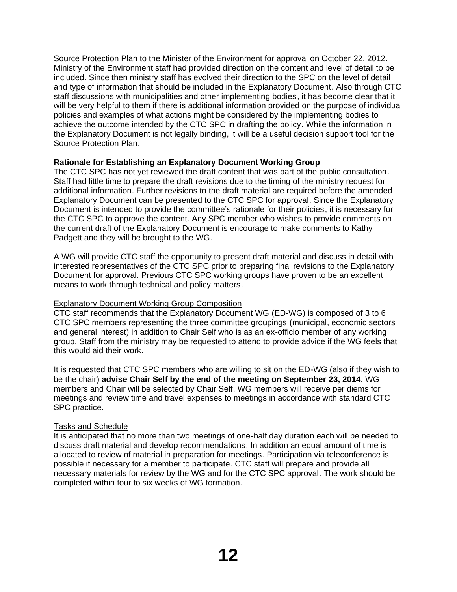Source Protection Plan to the Minister of the Environment for approval on October 22, 2012. Ministry of the Environment staff had provided direction on the content and level of detail to be included. Since then ministry staff has evolved their direction to the SPC on the level of detail and type of information that should be included in the Explanatory Document. Also through CTC staff discussions with municipalities and other implementing bodies, it has become clear that it will be very helpful to them if there is additional information provided on the purpose of individual policies and examples of what actions might be considered by the implementing bodies to achieve the outcome intended by the CTC SPC in drafting the policy. While the information in the Explanatory Document is not legally binding, it will be a useful decision support tool for the Source Protection Plan.

## **Rationale for Establishing an Explanatory Document Working Group**

The CTC SPC has not yet reviewed the draft content that was part of the public consultation. Staff had little time to prepare the draft revisions due to the timing of the ministry request for additional information. Further revisions to the draft material are required before the amended Explanatory Document can be presented to the CTC SPC for approval. Since the Explanatory Document is intended to provide the committee's rationale for their policies, it is necessary for the CTC SPC to approve the content. Any SPC member who wishes to provide comments on the current draft of the Explanatory Document is encourage to make comments to Kathy Padgett and they will be brought to the WG.

A WG will provide CTC staff the opportunity to present draft material and discuss in detail with interested representatives of the CTC SPC prior to preparing final revisions to the Explanatory Document for approval. Previous CTC SPC working groups have proven to be an excellent means to work through technical and policy matters.

## Explanatory Document Working Group Composition

CTC staff recommends that the Explanatory Document WG (ED-WG) is composed of 3 to 6 CTC SPC members representing the three committee groupings (municipal, economic sectors and general interest) in addition to Chair Self who is as an ex-officio member of any working group. Staff from the ministry may be requested to attend to provide advice if the WG feels that this would aid their work.

It is requested that CTC SPC members who are willing to sit on the ED-WG (also if they wish to be the chair) **advise Chair Self by the end of the meeting on September 23, 2014**. WG members and Chair will be selected by Chair Self. WG members will receive per diems for meetings and review time and travel expenses to meetings in accordance with standard CTC SPC practice.

## Tasks and Schedule

It is anticipated that no more than two meetings of one-half day duration each will be needed to discuss draft material and develop recommendations. In addition an equal amount of time is allocated to review of material in preparation for meetings. Participation via teleconference is possible if necessary for a member to participate. CTC staff will prepare and provide all necessary materials for review by the WG and for the CTC SPC approval. The work should be completed within four to six weeks of WG formation.